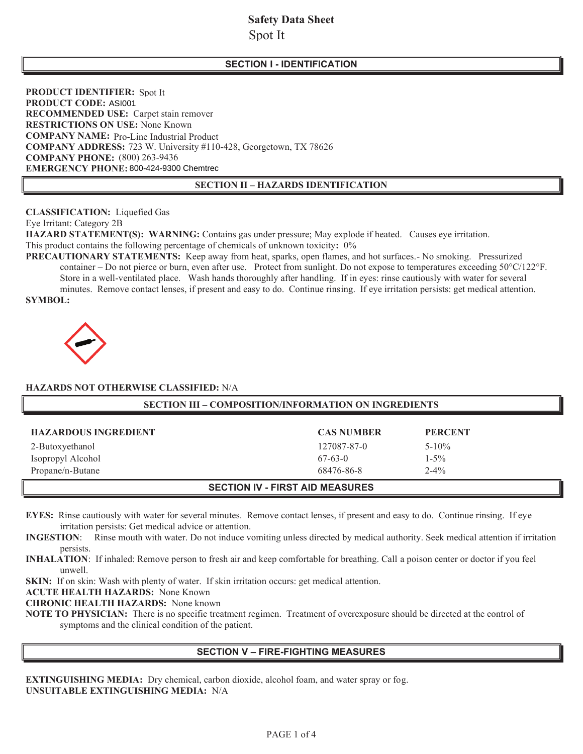# **Safety Data Sheet**  Spot It

# **SECTION I - IDENTIFICATION**

**PRODUCT IDENTIFIER:** Spot It **PRODUCT CODE: ASI001 RECOMMENDED USE:** Carpet stain remover **RESTRICTIONS ON USE:** None Known **COMPANY NAME:** Pro-Line Industrial Product **COMPANY ADDRESS:** 723 W. University #110-428, Georgetown, TX 78626 **COMPANY PHONE:** (800) 263-9436 EMERGENCY PHONE: 800-424-9300 Chemtrec

### **SECTION II – HAZARDS IDENTIFICATION**

**CLASSIFICATION:** Liquefied Gas

Eye Irritant: Category 2B

**HAZARD STATEMENT(S): WARNING:** Contains gas under pressure; May explode if heated. Causes eye irritation. This product contains the following percentage of chemicals of unknown toxicity**:** 0%

**PRECAUTIONARY STATEMENTS:** Keep away from heat, sparks, open flames, and hot surfaces.- No smoking. Pressurized container – Do not pierce or burn, even after use. Protect from sunlight. Do not expose to temperatures exceeding 50°C/122°F. Store in a well-ventilated place. Wash hands thoroughly after handling. If in eyes: rinse cautiously with water for several minutes. Remove contact lenses, if present and easy to do. Continue rinsing. If eye irritation persists: get medical attention. **SYMBOL:**



### **HAZARDS NOT OTHERWISE CLASSIFIED:** N/A

| <b>SECTION III - COMPOSITION/INFORMATION ON INGREDIENTS</b> |                   |                |  |  |
|-------------------------------------------------------------|-------------------|----------------|--|--|
| <b>HAZARDOUS INGREDIENT</b>                                 | <b>CAS NUMBER</b> | <b>PERCENT</b> |  |  |
| 2-Butoxyethanol                                             | 127087-87-0       | $5 - 10\%$     |  |  |
| Isopropyl Alcohol                                           | $67-63-0$         | $1 - 5\%$      |  |  |
| Propane/n-Butane                                            | 68476-86-8        | $2 - 4\%$      |  |  |
| <b>SECTION IV - FIRST AID MEASURES</b>                      |                   |                |  |  |

**EYES:** Rinse cautiously with water for several minutes. Remove contact lenses, if present and easy to do. Continue rinsing. If eye irritation persists: Get medical advice or attention.

**INGESTION**: Rinse mouth with water. Do not induce vomiting unless directed by medical authority. Seek medical attention if irritation persists.

**INHALATION**:If inhaled: Remove person to fresh air and keep comfortable for breathing. Call a poison center or doctor if you feel unwell.

SKIN: If on skin: Wash with plenty of water. If skin irritation occurs: get medical attention.

**ACUTE HEALTH HAZARDS:** None Known

**CHRONIC HEALTH HAZARDS:** None known

**NOTE TO PHYSICIAN:** There is no specific treatment regimen. Treatment of overexposure should be directed at the control of symptoms and the clinical condition of the patient.

### **SECTION V – FIRE-FIGHTING MEASURES**

**EXTINGUISHING MEDIA:** Dry chemical, carbon dioxide, alcohol foam, and water spray or fog. **UNSUITABLE EXTINGUISHING MEDIA:** N/A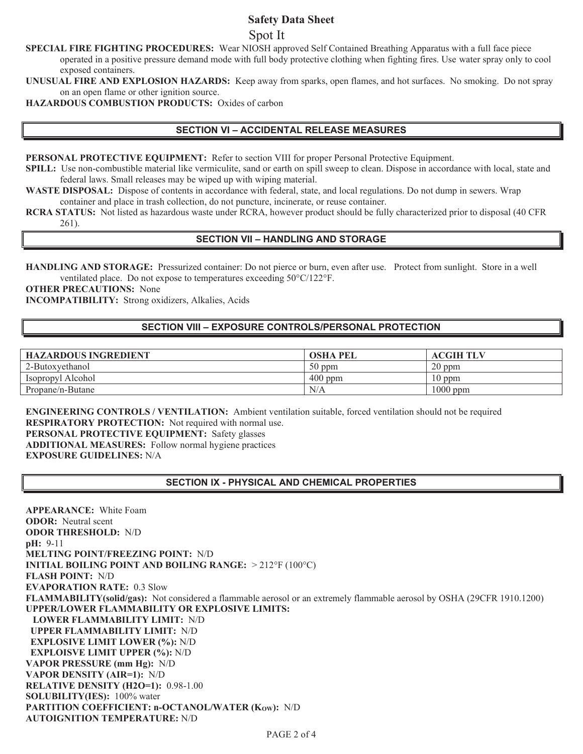## **Safety Data Sheet**

Spot It

**SPECIAL FIRE FIGHTING PROCEDURES:** Wear NIOSH approved Self Contained Breathing Apparatus with a full face piece operated in a positive pressure demand mode with full body protective clothing when fighting fires. Use water spray only to cool exposed containers.

**UNUSUAL FIRE AND EXPLOSION HAZARDS:** Keep away from sparks, open flames, and hot surfaces. No smoking. Do not spray on an open flame or other ignition source.

**HAZARDOUS COMBUSTION PRODUCTS:** Oxides of carbon

### **SECTION VI – ACCIDENTAL RELEASE MEASURES**

**PERSONAL PROTECTIVE EQUIPMENT:** Refer to section VIII for proper Personal Protective Equipment.

**SPILL:** Use non-combustible material like vermiculite, sand or earth on spill sweep to clean. Dispose in accordance with local, state and federal laws. Small releases may be wiped up with wiping material.

**WASTE DISPOSAL:** Dispose of contents in accordance with federal, state, and local regulations. Do not dump in sewers. Wrap container and place in trash collection, do not puncture, incinerate, or reuse container.

**RCRA STATUS:** Not listed as hazardous waste under RCRA, however product should be fully characterized prior to disposal (40 CFR 261).

## **SECTION VII – HANDLING AND STORAGE**

**HANDLING AND STORAGE:** Pressurized container: Do not pierce or burn, even after use. Protect from sunlight. Store in a well ventilated place. Do not expose to temperatures exceeding 50°C/122°F.

**OTHER PRECAUTIONS:** None

**INCOMPATIBILITY:** Strong oxidizers, Alkalies, Acids

# **SECTION VIII – EXPOSURE CONTROLS/PERSONAL PROTECTION**

| <b>HAZARDOUS INGREDIENT</b> | <b>OSHA PEL</b> | <b>ACGIH TLV</b> |
|-----------------------------|-----------------|------------------|
| 2-Butoxyethanol             | $50$ ppm        | $20$ ppm         |
| Isopropyl Alcohol           | $400$ ppm       | $10$ ppm         |
| Propane/n-Butane            | N/A             | $1000$ ppm       |

**ENGINEERING CONTROLS / VENTILATION:** Ambient ventilation suitable, forced ventilation should not be required **RESPIRATORY PROTECTION:** Not required with normal use. **PERSONAL PROTECTIVE EQUIPMENT:** Safety glasses **ADDITIONAL MEASURES:** Follow normal hygiene practices **EXPOSURE GUIDELINES:** N/A

## **SECTION IX - PHYSICAL AND CHEMICAL PROPERTIES**

**APPEARANCE:** White Foam **ODOR:** Neutral scent **ODOR THRESHOLD:** N/D **pH:** 9-11 **MELTING POINT/FREEZING POINT:** N/D **INITIAL BOILING POINT AND BOILING RANGE:** > 212°F (100°C) **FLASH POINT:** N/D **EVAPORATION RATE:** 0.3 Slow **FLAMMABILITY(solid/gas):** Not considered a flammable aerosol or an extremely flammable aerosol by OSHA (29CFR 1910.1200) **UPPER/LOWER FLAMMABILITY OR EXPLOSIVE LIMITS: LOWER FLAMMABILITY LIMIT:** N/D  **UPPER FLAMMABILITY LIMIT:** N/D **EXPLOSIVE LIMIT LOWER (%):** N/D  **EXPLOISVE LIMIT UPPER (%):** N/D **VAPOR PRESSURE (mm Hg):** N/D **VAPOR DENSITY (AIR=1):** N/D **RELATIVE DENSITY (H2O=1):** 0.98-1.00 **SOLUBILITY(IES):** 100% water **PARTITION COEFFICIENT: n-OCTANOL/WATER (Kow): N/D AUTOIGNITION TEMPERATURE:** N/D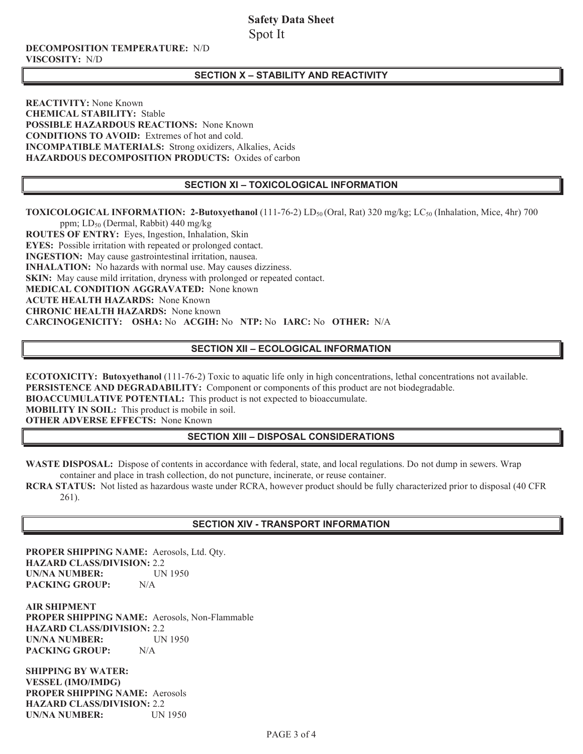# **Safety Data Sheet**  Spot It

#### **DECOMPOSITION TEMPERATURE:** N/D **VISCOSITY:** N/D

## **SECTION X – STABILITY AND REACTIVITY**

**REACTIVITY:** None Known **CHEMICAL STABILITY:** Stable **POSSIBLE HAZARDOUS REACTIONS:** None Known **CONDITIONS TO AVOID:** Extremes of hot and cold. **INCOMPATIBLE MATERIALS:** Strong oxidizers, Alkalies, Acids **HAZARDOUS DECOMPOSITION PRODUCTS:** Oxides of carbon

## **SECTION XI – TOXICOLOGICAL INFORMATION**

**TOXICOLOGICAL INFORMATION: 2-Butoxyethanol** (111-76-2) LD<sub>50</sub> (Oral, Rat) 320 mg/kg; LC<sub>50</sub> (Inhalation, Mice, 4hr) 700

ppm; LD50 (Dermal, Rabbit) 440 mg/kg **ROUTES OF ENTRY:** Eyes, Ingestion, Inhalation, Skin **EYES:** Possible irritation with repeated or prolonged contact. **INGESTION:** May cause gastrointestinal irritation, nausea. **INHALATION:** No hazards with normal use. May causes dizziness. **SKIN:** May cause mild irritation, dryness with prolonged or repeated contact. **MEDICAL CONDITION AGGRAVATED:** None known **ACUTE HEALTH HAZARDS:** None Known **CHRONIC HEALTH HAZARDS:** None known **CARCINOGENICITY: OSHA:** No **ACGIH:** No **NTP:** No **IARC:** No **OTHER:** N/A

# **SECTION XII – ECOLOGICAL INFORMATION**

**ECOTOXICITY: Butoxyethanol** (111-76-2) Toxic to aquatic life only in high concentrations, lethal concentrations not available. **PERSISTENCE AND DEGRADABILITY:** Component or components of this product are not biodegradable.

**BIOACCUMULATIVE POTENTIAL:** This product is not expected to bioaccumulate.

**MOBILITY IN SOIL:** This product is mobile in soil.

**OTHER ADVERSE EFFECTS:** None Known

# **SECTION XIII – DISPOSAL CONSIDERATIONS**

**WASTE DISPOSAL:** Dispose of contents in accordance with federal, state, and local regulations. Do not dump in sewers. Wrap container and place in trash collection, do not puncture, incinerate, or reuse container.

**RCRA STATUS:** Not listed as hazardous waste under RCRA, however product should be fully characterized prior to disposal (40 CFR 261).

### **SECTION XIV - TRANSPORT INFORMATION**

**PROPER SHIPPING NAME:** Aerosols, Ltd. Qty. **HAZARD CLASS/DIVISION:** 2.2 **UN/NA NUMBER:** UN 1950 **PACKING GROUP:** N/A

**AIR SHIPMENT PROPER SHIPPING NAME:** Aerosols, Non-Flammable **HAZARD CLASS/DIVISION:** 2.2 **UN/NA NUMBER:** UN 1950<br>**PACKING GROUP:** N/A **PACKING GROUP:** 

**SHIPPING BY WATER: VESSEL (IMO/IMDG) PROPER SHIPPING NAME:** Aerosols **HAZARD CLASS/DIVISION:** 2.2 **UN/NA NUMBER:** UN 1950